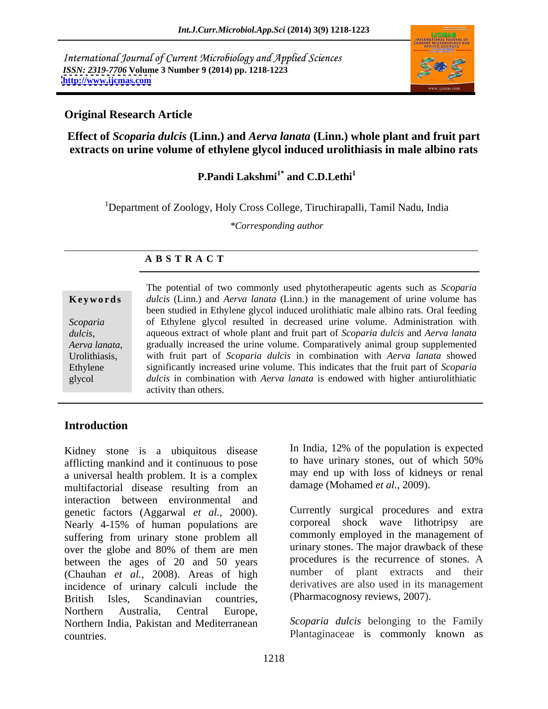International Journal of Current Microbiology and Applied Sciences *ISSN: 2319-7706* **Volume 3 Number 9 (2014) pp. 1218-1223 <http://www.ijcmas.com>**



### **Original Research Article**

**Effect of** *Scoparia dulcis* **(Linn.) and** *Aerva lanata* **(Linn.) whole plant and fruit part extracts on urine volume of ethylene glycol induced urolithiasis in male albino rats**

# **P.Pandi Lakshmi1\* and C.D.Lethi<sup>1</sup>**

<sup>1</sup>Department of Zoology, Holy Cross College, Tiruchirapalli, Tamil Nadu, India

*\*Corresponding author*

### **A B S T R A C T**

*dulcis*,

**Ke ywo rds** *dulcis* (Linn.) and *Aerva lanata* (Linn.) in the management of urine volume has *Scoparia*  of Ethylene glycol resulted in decreased urine volume. Administration with *Aerva lanata*, gradually increased the urine volume. Comparatively animal group supplemented Urolithiasis, with fruit part of *Scoparia dulcis* in combination with *Aerva lanata* showed Ethylene significantly increased urine volume. This indicates that the fruit part of *Scoparia*  glycol *dulcis* in combination with *Aerva lanata* is endowed with higher antiurolithiatic The potential of two commonly used phytotherapeutic agents such as *Scoparia*  been studied in Ethylene glycol induced urolithiatic male albino rats. Oral feeding aqueous extract of whole plant and fruit part of *Scoparia dulcis* and *Aerva lanata* gradually increased the urine volume. Comparatively animal group supplemented activity than others.

### **Introduction**

Kidney stone is a ubiquitous disease  $\frac{10}{20}$  in mana, 12% of the population is expected afflicting mankind and it continuous to pose to have urinary stones, out of which 50% afflicting mankind and it continuous to pose a universal health problem. It is a complex multifactorial disease resulting from an interaction between environmental and genetic factors (Aggarwal *et al.*, 2000). Currently surgical procedures and extra<br>Nearly 4-15% of human populations are corporeal shock wave lithotripsy are Nearly 4-15% of human populations are suffering from urinary stone problem all over the globe and 80% of them are men between the ages of 20 and 50 years (Chauhan *et al.,* 2008). Areas of high incidence of urinary calculi include the British Isles, Scandinavian countries, (Pharmacognosy reviews, 2007). Northern Australia, Central Europe, Northern India, Pakistan and Mediterranean *Scoparia dulcis* belonging to the Family countries. Plantaginaceae is commonly known as

In India, 12% of the population is expected to have urinary stones, out of which 50% may end up with loss of kidneys or renal damage (Mohamed *et al.,* 2009).

Currently surgical procedures and extra corporeal shock wave lithotripsy commonly employed in the management of urinary stones. The major drawback of these procedures is the recurrence of stones. A number of plant extracts and their derivatives are also used in its management (Pharmacognosy reviews, 2007).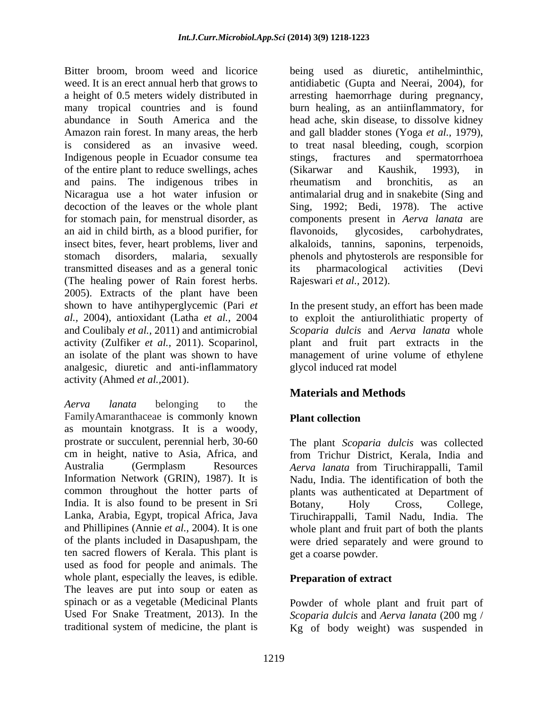Bitter broom, broom weed and licorice being used as diuretic, antihelminthic, weed. It is an erect annual herb that grows to antidiabetic (Gupta and Neerai, 2004), for a height of 0.5 meters widely distributed in arresting haemorrhage during pregnancy, many tropical countries and is found burn healing, as an antiinflammatory, for abundance in South America and the head ache, skin disease, to dissolve kidney Amazon rain forest. In many areas, the herb and gall bladder stones (Yoga *et al.,* 1979), is considered as an invasive weed. to treat nasal bleeding, cough, scorpion Indigenous people in Ecuador consume tea stings, fractures and spermatorrhoea of the entire plant to reduce swellings, aches and pains. The indigenous tribes in rheumatism and bronchitis, as an Nicaragua use a hot water infusion or antimalarial drug and in snakebite (Sing and decoction of the leaves or the whole plant Sing, 1992; Bedi, 1978). The active for stomach pain, for menstrual disorder, as components present in *Aerva lanata* are an aid in child birth, as a blood purifier, for insect bites, fever, heart problems, liver and alkaloids, tannins, saponins, terpenoids, stomach disorders, malaria, sexually phenols and phytosterols are responsible for transmitted diseases and as a general tonic (The healing power of Rain forest herbs. 2005). Extracts of the plant have been shown to have antihyperglycemic (Pari *et al.,* 2004), antioxidant (Latha *et al.,* 2004 to exploit the antiurolithiatic property of and Coulibaly *et al.,* 2011) and antimicrobial *Scoparia dulcis* and *Aerva lanata* whole activity (Zulfiker *et al.*, 2011). Scoparinol, plant and fruit part extracts in the an isolate of the plant was shown to have management of urine volume of ethylene analgesic, diuretic and anti-inflammatory activity (Ahmed *et al.,*2001).

*Aerva lanata* belonging to the FamilyAmaranthaceae is commonly known Plant collection as mountain knotgrass. It is a woody, prostrate or succulent, perennial herb, 30-60 The plant *Scoparia dulcis* was collected cm in height, native to Asia, Africa, and Australia (Germplasm Resources *Aerva lanata* from Tiruchirappalli, Tamil Information Network (GRIN), 1987). It is Nadu, India. The identification of both the common throughout the hotter parts of India. It is also found to be present in Sri Botany, Holy Cross, College, Lanka, Arabia, Egypt, tropical Africa, Java Tiruchirappalli, Tamil Nadu, India. The and Phillipines (Annie *et al.,* 2004). It is one whole plant and fruit part of both the plants of the plants included in Dasapushpam, the were dried separately and were ground to ten sacred flowers of Kerala. This plant is used as food for people and animals. The whole plant, especially the leaves, is edible. The leaves are put into soup or eaten as spinach or as a vegetable (Medicinal Plants Powder of whole plant and fruit part of Used For Snake Treatment*,* 2013). In the *Scoparia dulcis* and *Aerva lanata* (200 mg /

stings, fractures and spermatorrhoea (Sikarwar and Kaushik, 1993), in rheumatism and bronchitis, as an flavonoids, glycosides, carbohydrates, alkaloids, tannins, saponins, terpenoids, phenols and phytosterols are responsible for its pharmacological activities (Devi Rajeswari *et al.,* 2012).

In the present study, an effort has been made glycol induced rat model

## **Materials and Methods**

### **Plant collection**

from Trichur District, Kerala, India and plants was authenticated at Department of Botany, Holy Cross, College, get a coarse powder.

### **Preparation of extract**

traditional system of medicine, the plant is Kg of body weight) was suspended in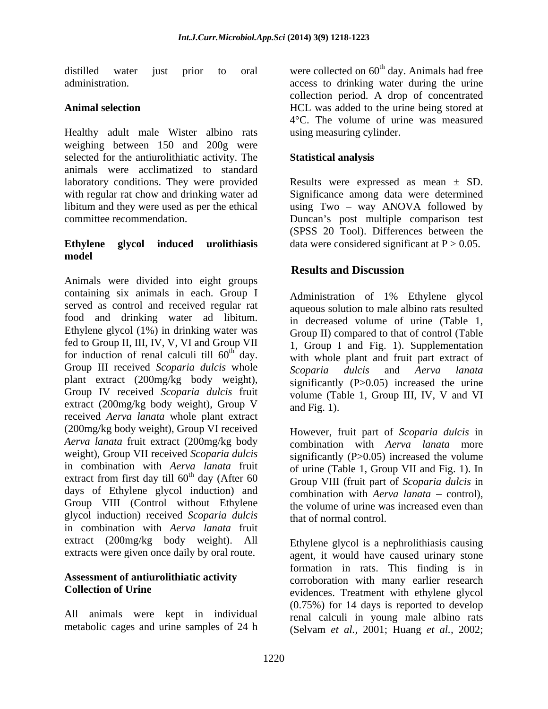distilled water just prior to oral were collected on 60<sup>th</sup> day. Animals had free

Healthy adult male Wister albino rats weighing between 150 and 200g were selected for the antiurolithiatic activity. The animals were acclimatized to standard laboratory conditions. They were provided Results were expressed as mean ± SD. with regular rat chow and drinking water ad Significance among data were determined libitum and they were used as per the ethical using Two – way ANOVA followed by

### **Ethylene** glycol induced urolithiasis data were considered significant at P > 0.05. **model**

Animals were divided into eight groups containing six animals in each. Group I served as control and received regular rat food and drinking water ad libitum. Ethylene glycol (1%) in drinking water was fed to Group II, III, IV, V, VI and Group VII for induction of renal calculi till  $60<sup>th</sup>$  day. Group III received *Scoparia dulcis* whole *Scoparia dulcis* and *Aerva langta* plant extract (200mg/kg body weight), Group IV received Scoparia dulcis fruit volume (Table 1, Group III, IV, V and VI extract (200mg/kg body weight), Group V and Fig. 1). received *Aerva lanata* whole plant extract (200mg/kg body weight), Group VI received *Aerva lanata* fruit extract (200mg/kg body weight), Group VII received *Scoparia dulcis* in combination with *Aerva lanata* fruit extract from first day till  $60<sup>th</sup>$  day (After 60) days of Ethylene glycol induction) and Group VIII (Control without Ethylene glycol induction) received *Scoparia dulcis* in combination with *Aerva lanata* fruit extract (200mg/kg body weight). All extracts were given once daily by oral route.

All animals were kept in individual

administration. access to drinking water during the urine Animal selection **Animal selection** and the urine being stored at a selection collection period. A drop of concentrated 4°C. The volume of urine was measured using measuring cylinder.

### **Statistical analysis**

committee recommendation. 
Some and the Duncan's post multiple comparison test (SPSS 20 Tool). Differences between the

### **Results and Discussion**

 $\int_{\text{th}}^{\text{th}} \text{day}$ . with whole plant and fruit part extract of Administration of 1% Ethylene glycol aqueous solution to male albino rats resulted in decreased volume of urine (Table 1, Group II) compared to that of control (Table 1, Group I and Fig. 1). Supplementation *Scoparia dulcis* and *Aerva lanata* significantly (P>0.05) increased the urine and Fig. 1).

th day (After 60 Group VIII (fruit part of *Scoparia dulcis* in However, fruit part of *Scoparia dulcis* in combination with *Aerva lanata* more significantly  $(P>0.05)$  increased the volume of urine (Table 1, Group VII and Fig. 1). In combination with *Aerva lanata* – control). the volume of urine was increased even than that of normal control.

Assessment of antiurolithiatic activity corroboration with many earlier research **Collection of Urine** evidences. Treatment with ethylene glycol metabolic cages and urine samples of 24 h (Selvam *et al.,* 2001; Huang *et al.,* 2002;Ethylene glycol is a nephrolithiasis causing agent, it would have caused urinary stone formation in rats. This finding is in (0.75%) for 14 days is reported to develop renal calculi in young male albino rats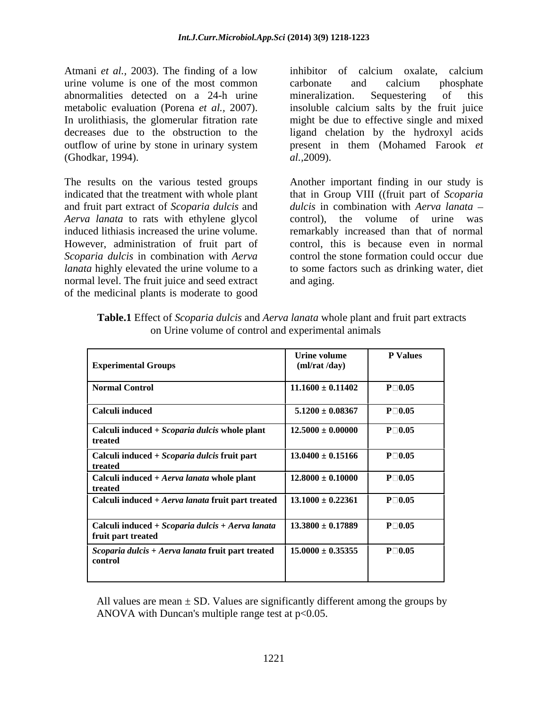Atmani *et al.,* 2003). The finding of a low urine volume is one of the most common abnormalities detected on a 24-h urine outflow of urine by stone in urinary system (Ghodkar, 1994).

The results on the various tested groups indicated that the treatment with whole plant that in Group VIII ((fruit part of *Scoparia* and fruit part extract of *Scoparia dulcis* and *Aerva lanata* to rats with ethylene glycol control), the volume of urine was induced lithiasis increased the urine volume. The emarkably increased than that of normal<br>However, administration of fruit part of the control, this is because even in normal *Scoparia dulcis* in combination with *Aerva lanata* highly elevated the urine volume to a to some factors such as drinking water, diet normal level. The fruit juice and seed extract and aging. of the medicinal plants is moderate to good

metabolic evaluation (Porena *et al.*, 2007). In insoluble calcium salts by the fruit juice<br>In urolithiasis, the glomerular fitration rate in might be due to effective single and mixed decreases due to the obstruction to the ligand chelation by the hydroxyl acids inhibitor of calcium oxalate, calcium carbonate and calcium phosphate mineralization. Sequestering of this insoluble calcium salts by the fruit juice might be due to effective single and mixed present in them (Mohamed Farook *et al.,*2009).

> Another important finding in our study is *dulcis* in combination with *Aerva lanata* control), the volume of urine was remarkably increased than that of normal control, this is because even in normal control the stone formation could occur due and aging.

| <b>Experimental Groups</b>                                                        | Urine volume<br>(ml/rat/day) | <b>P</b> Values  |
|-----------------------------------------------------------------------------------|------------------------------|------------------|
| Normal Control                                                                    | $11.1600 \pm 0.11402$        | $P \Box 0.05$    |
| Calculi induced                                                                   | $5.1200 \pm 0.08367$         | $P \Box 0.05$    |
| Calculi induced $+ Scoparia$ dulcis whole plant<br>treated                        | $12.5000 \pm 0.00000$        | $P \Box 0.05$    |
| Calculi induced + Scoparia dulcis fruit part<br>treated                           | $13.0400 \pm 0.15166$        | $P \Box 0.05$    |
| Calculi induced $+ Aerva$ lanata whole plant<br>treated                           | $12.8000 \pm 0.10000$        | $P \Box 0.05$    |
| Calculi induced + Aerva lanata fruit part treated                                 | $13.1000 \pm 0.22361$        | $P \Box 0.05$    |
| $\vert$ Calculi induced + Scoparia dulcis + Aerva lanata<br>fruit part treated    | $13.3800 \pm 0.17889$        | $P \Box 0.05$    |
| $\int$ <i>Scoparia dulcis</i> + <i>Aerva lanata</i> fruit part treated<br>control | $15.0000 \pm 0.35355$        | $P \square 0.05$ |
|                                                                                   |                              |                  |

**Table.1** Effect of *Scoparia dulcis* and *Aerva lanata* whole plant and fruit part extracts on Urine volume of control and experimental animals

All values are mean  $\pm$  SD. Values are significantly different among the groups by ANOVA with Duncan's multiple range test at  $p<0.05$ .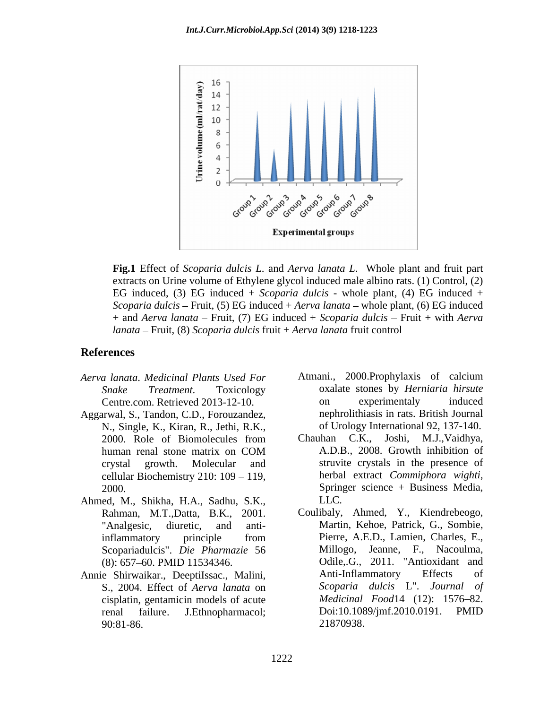

**Fig.1** Effect of *Scoparia dulcis L*. and *Aerva lanata L*. Whole plant and fruit part extracts on Urine volume of Ethylene glycol induced male albino rats. (1) Control, (2) EG induced, (3) EG induced + *Scoparia dulcis* - whole plant, (4) EG induced + *Scoparia dulcis* – Fruit, (5) EG induced + *Aerva lanata* – whole plant, (6) EG induced + and *Aerva lanata* – Fruit, (7) EG induced + *Scoparia dulcis* – Fruit + with *Aerva lanata* Fruit, (8) *Scoparia dulcis* fruit + *Aerva lanata* fruit control

### **References**

- 
- Aggarwal, S., Tandon, C.D., Forouzandez, a mephrolithiasis in rats. British Journal<br>N., Single, K., Kiran, R., Jethi, R.K., a of Urology International 92, 137-140.<br>2000. Role of Biomolecules from Chauhan C.K., Joshi, M.J.,
- Ahmed, M., Shikha, H.A., Sadhu, S.K.,
- cisplatin, gentamicin models of acute
- *Aerva lanata*. *Medicinal Plants Used For Snake Treatment*. Toxicology oxalate stones by *Herniaria hirsute* Centre.com. Retrieved 2013-12-10. The comparison on experimentaly induced Atmani., 2000.Prophylaxis of calcium on experimentaly induced nephrolithiasis in rats. British Journal of Urology International 92, 137-140.
	- human renal stone matrix on COM A.D.B., 2008. Growth inhibition of crystal growth. Molecular and struvite crystals in the presence of cellular Biochemistry 210: 109 - 119, herbal extract Commiphora wighti, 2000. Springer science + Business Media, Chauhan C.K., Joshi, M.J.,Vaidhya, A.D.B., 2008. Growth inhibition of herbal extract *Commiphora wighti*, Springer science <sup>+</sup> Business Media, LLC.
- Rahman, M.T.,Datta, B.K., 2001. Coulibaly, Ahmed, Y., Kiendrebeogo, Tanalgesic, diuretic, and anti- Martin, Kehoe, Patrick, G., Sombie, inflammatory principle from Pierre, A.E.D., Lamien, Charles, E., Scopariadulcis". *Die Pharmazie* 56 (8): 657-60. PMID 11534346. Odile, G., 2011. "Antioxidant and Annie Shirwaikar., DeeptiIssac., Malini, S., 2004. Effect of *Aerva lanata* on renal failure. J.Ethnopharmacol; Doi:10.1089/jmf.2010.0191. PMID 90:81-86. 21870938. Coulibaly, Ahmed, Y., Kiendrebeogo, Martin, Kehoe, Patrick, G., Sombie, Pierre, A.E.D., Lamien, Charles, E.,<br>Millogo, Jeanne, F., Nacoulma,<br>Odile,.G., 2011. "Antioxidant and Anti-Inflammatory Effects of *Scoparia dulcis* L". *Journal of Medicinal Food*14 (12): 1576-82. Doi:10.1089/jmf.2010.0191. PMID 21870938.